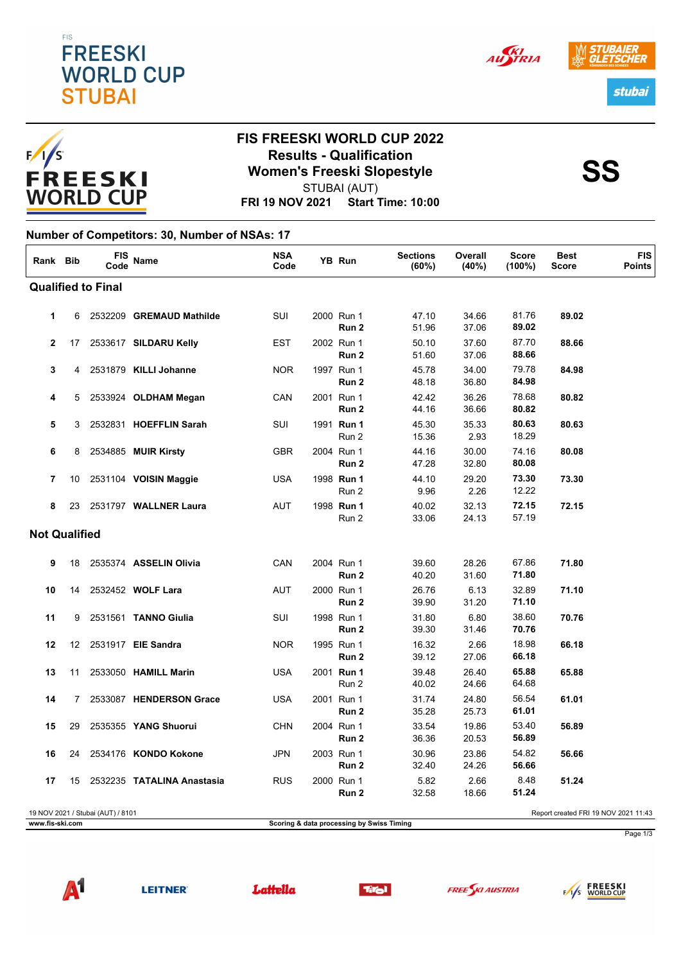



# **FIS FREESKI WORLD CUP 2022 Results - Qualification<br>
Women's Freeski Slopestyle<br>
SS** STUBAI (AUT)

**FRI 19 NOV 2021 Start Time: 10:00**

#### **Number of Competitors: 30, Number of NSAs: 17**

| Rank Bib                  |    | <b>FIS</b><br>Code                | Name                       | <b>NSA</b><br>Code |  | YB Run                                    | <b>Sections</b><br>(60%) | Overall<br>(40%) | <b>Score</b><br>$(100\%)$ | <b>Best</b><br><b>Score</b>          | <b>FIS</b><br><b>Points</b> |
|---------------------------|----|-----------------------------------|----------------------------|--------------------|--|-------------------------------------------|--------------------------|------------------|---------------------------|--------------------------------------|-----------------------------|
| <b>Qualified to Final</b> |    |                                   |                            |                    |  |                                           |                          |                  |                           |                                      |                             |
| 1                         | 6  |                                   | 2532209 GREMAUD Mathilde   | SUI                |  | 2000 Run 1<br>Run 2                       | 47.10<br>51.96           | 34.66<br>37.06   | 81.76<br>89.02            | 89.02                                |                             |
| $\mathbf{2}$              | 17 |                                   | 2533617 SILDARU Kelly      | <b>EST</b>         |  | 2002 Run 1<br>Run 2                       | 50.10<br>51.60           | 37.60<br>37.06   | 87.70<br>88.66            | 88.66                                |                             |
| 3                         | 4  |                                   | 2531879 KILLI Johanne      | <b>NOR</b>         |  | 1997 Run 1<br>Run 2                       | 45.78<br>48.18           | 34.00<br>36.80   | 79.78<br>84.98            | 84.98                                |                             |
| 4                         | 5  |                                   | 2533924 OLDHAM Megan       | CAN                |  | 2001 Run 1<br>Run 2                       | 42.42<br>44.16           | 36.26<br>36.66   | 78.68<br>80.82            | 80.82                                |                             |
| 5                         | 3  |                                   | 2532831 HOEFFLIN Sarah     | SUI                |  | 1991 Run 1<br>Run 2                       | 45.30<br>15.36           | 35.33<br>2.93    | 80.63<br>18.29            | 80.63                                |                             |
| 6                         | 8  |                                   | 2534885 MUIR Kirsty        | <b>GBR</b>         |  | 2004 Run 1<br>Run 2                       | 44.16<br>47.28           | 30.00<br>32.80   | 74.16<br>80.08            | 80.08                                |                             |
| 7                         | 10 |                                   | 2531104 VOISIN Maggie      | <b>USA</b>         |  | 1998 Run 1<br>Run 2                       | 44.10<br>9.96            | 29.20<br>2.26    | 73.30<br>12.22            | 73.30                                |                             |
| 8                         | 23 |                                   | 2531797 WALLNER Laura      | <b>AUT</b>         |  | 1998 Run 1<br>Run 2                       | 40.02<br>33.06           | 32.13<br>24.13   | 72.15<br>57.19            | 72.15                                |                             |
| <b>Not Qualified</b>      |    |                                   |                            |                    |  |                                           |                          |                  |                           |                                      |                             |
| 9                         | 18 |                                   | 2535374 ASSELIN Olivia     | CAN                |  | 2004 Run 1<br>Run 2                       | 39.60<br>40.20           | 28.26<br>31.60   | 67.86<br>71.80            | 71.80                                |                             |
| 10                        | 14 |                                   | 2532452 WOLF Lara          | <b>AUT</b>         |  | 2000 Run 1<br>Run 2                       | 26.76<br>39.90           | 6.13<br>31.20    | 32.89<br>71.10            | 71.10                                |                             |
| 11                        | 9  |                                   | 2531561 TANNO Giulia       | SUI                |  | 1998 Run 1<br>Run 2                       | 31.80<br>39.30           | 6.80<br>31.46    | 38.60<br>70.76            | 70.76                                |                             |
| 12                        | 12 |                                   | 2531917 EIE Sandra         | <b>NOR</b>         |  | 1995 Run 1<br>Run 2                       | 16.32<br>39.12           | 2.66<br>27.06    | 18.98<br>66.18            | 66.18                                |                             |
| 13                        | 11 |                                   | 2533050 HAMILL Marin       | <b>USA</b>         |  | 2001 Run 1<br>Run 2                       | 39.48<br>40.02           | 26.40<br>24.66   | 65.88<br>64.68            | 65.88                                |                             |
| 14                        | 7  |                                   | 2533087 HENDERSON Grace    | <b>USA</b>         |  | 2001 Run 1<br>Run 2                       | 31.74<br>35.28           | 24.80<br>25.73   | 56.54<br>61.01            | 61.01                                |                             |
| 15                        | 29 |                                   | 2535355 YANG Shuorui       | <b>CHN</b>         |  | 2004 Run 1<br>Run 2                       | 33.54<br>36.36           | 19.86<br>20.53   | 53.40<br>56.89            | 56.89                                |                             |
| 16                        | 24 |                                   | 2534176 KONDO Kokone       | <b>JPN</b>         |  | 2003 Run 1<br>Run 2                       | 30.96<br>32.40           | 23.86<br>24.26   | 54.82<br>56.66            | 56.66                                |                             |
| 17                        | 15 |                                   | 2532235 TATALINA Anastasia | <b>RUS</b>         |  | 2000 Run 1<br>Run 2                       | 5.82<br>32.58            | 2.66<br>18.66    | 8.48<br>51.24             | 51.24                                |                             |
| www.fis-ski.com           |    | 19 NOV 2021 / Stubai (AUT) / 8101 |                            |                    |  | Scoring & data processing by Swiss Timing |                          |                  |                           | Report created FRI 19 NOV 2021 11:43 |                             |



**LEITNER®** 









Page 1/3



AU STRIA

stubai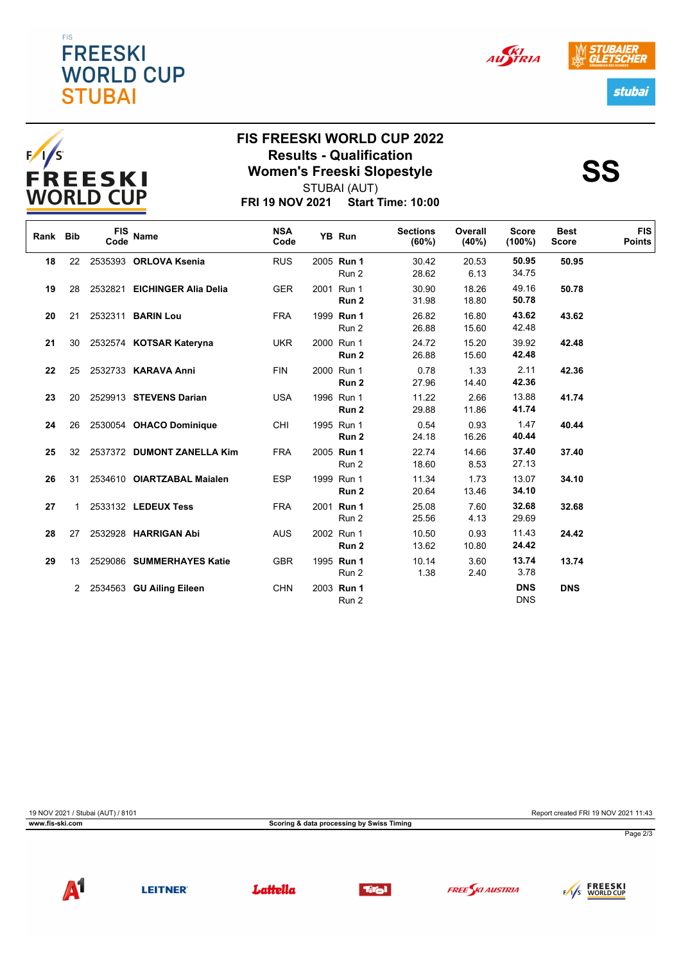### EIS **FREESKI WORLD CUP STUBAI**











## **FIS FREESKI WORLD CUP 2022 Results - Qualification<br>
Women's Freeski Slopestyle<br>
SS** STUBAI (AUT)

**FRI 19 NOV 2021 Start Time: 10:00**

| Rank Bib |                 | <b>FIS</b><br>Code | Name                         | <b>NSA</b><br>Code | YB Run              | <b>Sections</b><br>(60%) | Overall<br>(40%) | <b>Score</b><br>$(100\%)$ | <b>Best</b><br><b>Score</b> | <b>FIS</b><br><b>Points</b> |
|----------|-----------------|--------------------|------------------------------|--------------------|---------------------|--------------------------|------------------|---------------------------|-----------------------------|-----------------------------|
| 18       | 22              |                    | 2535393 ORLOVA Ksenia        | <b>RUS</b>         | 2005 Run 1<br>Run 2 | 30.42<br>28.62           | 20.53<br>6.13    | 50.95<br>34.75            | 50.95                       |                             |
| 19       | 28              |                    | 2532821 EICHINGER Alia Delia | <b>GER</b>         | 2001 Run 1<br>Run 2 | 30.90<br>31.98           | 18.26<br>18.80   | 49.16<br>50.78            | 50.78                       |                             |
| 20       | 21              |                    | 2532311 <b>BARIN Lou</b>     | <b>FRA</b>         | 1999 Run 1<br>Run 2 | 26.82<br>26.88           | 16.80<br>15.60   | 43.62<br>42.48            | 43.62                       |                             |
| 21       | 30              |                    | 2532574 KOTSAR Kateryna      | <b>UKR</b>         | 2000 Run 1<br>Run 2 | 24.72<br>26.88           | 15.20<br>15.60   | 39.92<br>42.48            | 42.48                       |                             |
| 22       | 25              |                    | 2532733 KARAVA Anni          | <b>FIN</b>         | 2000 Run 1<br>Run 2 | 0.78<br>27.96            | 1.33<br>14.40    | 2.11<br>42.36             | 42.36                       |                             |
| 23       | 20              |                    | 2529913 STEVENS Darian       | <b>USA</b>         | 1996 Run 1<br>Run 2 | 11.22<br>29.88           | 2.66<br>11.86    | 13.88<br>41.74            | 41.74                       |                             |
| 24       | 26              |                    | 2530054 OHACO Dominique      | CHI                | 1995 Run 1<br>Run 2 | 0.54<br>24.18            | 0.93<br>16.26    | 1.47<br>40.44             | 40.44                       |                             |
| 25       | 32 <sup>2</sup> |                    | 2537372 DUMONT ZANELLA Kim   | <b>FRA</b>         | 2005 Run 1<br>Run 2 | 22.74<br>18.60           | 14.66<br>8.53    | 37.40<br>27.13            | 37.40                       |                             |
| 26       | 31              |                    | 2534610 OIARTZABAL Maialen   | <b>ESP</b>         | 1999 Run 1<br>Run 2 | 11.34<br>20.64           | 1.73<br>13.46    | 13.07<br>34.10            | 34.10                       |                             |
| 27       |                 |                    | 2533132 LEDEUX Tess          | <b>FRA</b>         | 2001 Run 1<br>Run 2 | 25.08<br>25.56           | 7.60<br>4.13     | 32.68<br>29.69            | 32.68                       |                             |
| 28       | 27              |                    | 2532928 HARRIGAN Abi         | <b>AUS</b>         | 2002 Run 1<br>Run 2 | 10.50<br>13.62           | 0.93<br>10.80    | 11.43<br>24.42            | 24.42                       |                             |
| 29       | 13              |                    | 2529086 SUMMERHAYES Katie    | <b>GBR</b>         | 1995 Run 1<br>Run 2 | 10.14<br>1.38            | 3.60<br>2.40     | 13.74<br>3.78             | 13.74                       |                             |
|          | 2               |                    | 2534563 GU Ailing Eileen     | <b>CHN</b>         | 2003 Run 1<br>Run 2 |                          |                  | <b>DNS</b><br><b>DNS</b>  | <b>DNS</b>                  |                             |

**www.fis-ski.com Scoring & data processing by Swiss Timing**

19 NOV 2021 / Stubai (AUT) / 8101 Report created FRI 19 NOV 2021 11:43